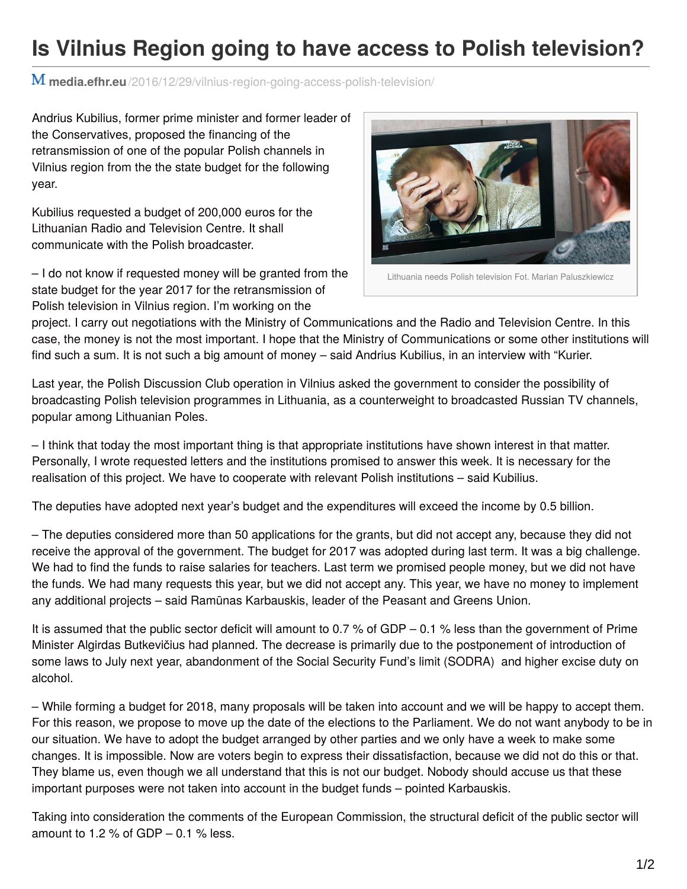## **Is Vilnius Region going to have access to Polish television?**

**media.efhr.eu**[/2016/12/29/vilnius-region-going-access-polish-television/](http://media.efhr.eu/2016/12/29/vilnius-region-going-access-polish-television/)

Andrius Kubilius, former prime minister and former leader of the Conservatives, proposed the financing of the retransmission of one of the popular Polish channels in Vilnius region from the the state budget for the following year.

Kubilius requested a budget of 200,000 euros for the Lithuanian Radio and Television Centre. It shall communicate with the Polish broadcaster.

– I do not know if requested money will be granted from the state budget for the year 2017 for the retransmission of Polish television in Vilnius region. I'm working on the



project. I carry out negotiations with the Ministry of Communications and the Radio and Television Centre. In this case, the money is not the most important. I hope that the Ministry of Communications or some other institutions will find such a sum. It is not such a big amount of money – said Andrius Kubilius, in an interview with "Kurier.

Last year, the Polish Discussion Club operation in Vilnius asked the government to consider the possibility of broadcasting Polish television programmes in Lithuania, as a counterweight to broadcasted Russian TV channels, popular among Lithuanian Poles.

– I think that today the most important thing is that appropriate institutions have shown interest in that matter. Personally, I wrote requested letters and the institutions promised to answer this week. It is necessary for the realisation of this project. We have to cooperate with relevant Polish institutions – said Kubilius.

The deputies have adopted next year's budget and the expenditures will exceed the income by 0.5 billion.

– The deputies considered more than 50 applications for the grants, but did not accept any, because they did not receive the approval of the government. The budget for 2017 was adopted during last term. It was a big challenge. We had to find the funds to raise salaries for teachers. Last term we promised people money, but we did not have the funds. We had many requests this year, but we did not accept any. This year, we have no money to implement any additional projects – said Ramūnas Karbauskis, leader of the Peasant and Greens Union.

It is assumed that the public sector deficit will amount to 0.7 % of GDP – 0.1 % less than the government of Prime Minister Algirdas Butkevičius had planned. The decrease is primarily due to the postponement of introduction of some laws to July next year, abandonment of the Social Security Fund's limit (SODRA) and higher excise duty on alcohol.

– While forming a budget for 2018, many proposals will be taken into account and we will be happy to accept them. For this reason, we propose to move up the date of the elections to the Parliament. We do not want anybody to be in our situation. We have to adopt the budget arranged by other parties and we only have a week to make some changes. It is impossible. Now are voters begin to express their dissatisfaction, because we did not do this or that. They blame us, even though we all understand that this is not our budget. Nobody should accuse us that these important purposes were not taken into account in the budget funds – pointed Karbauskis.

Taking into consideration the comments of the European Commission, the structural deficit of the public sector will amount to 1.2 % of GDP  $-$  0.1 % less.